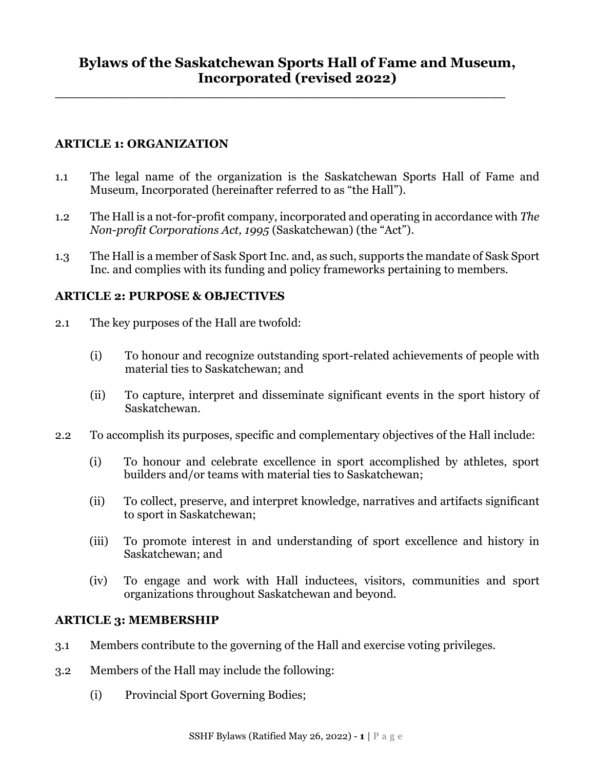**\_\_\_\_\_\_\_\_\_\_\_\_\_\_\_\_\_\_\_\_\_\_\_\_\_\_\_\_\_\_\_\_\_\_\_\_\_\_\_\_\_\_\_\_\_\_\_\_\_\_\_\_\_\_\_**

### **ARTICLE 1: ORGANIZATION**

- 1.1 The legal name of the organization is the Saskatchewan Sports Hall of Fame and Museum, Incorporated (hereinafter referred to as "the Hall").
- 1.2 The Hall is a not-for-profit company, incorporated and operating in accordance with *The Non-profit Corporations Act, 1995* (Saskatchewan) (the "Act").
- 1.3 The Hall is a member of Sask Sport Inc. and, as such, supports the mandate of Sask Sport Inc. and complies with its funding and policy frameworks pertaining to members.

### **ARTICLE 2: PURPOSE & OBJECTIVES**

- 2.1 The key purposes of the Hall are twofold:
	- (i) To honour and recognize outstanding sport-related achievements of people with material ties to Saskatchewan; and
	- (ii) To capture, interpret and disseminate significant events in the sport history of Saskatchewan.
- 2.2 To accomplish its purposes, specific and complementary objectives of the Hall include:
	- (i) To honour and celebrate excellence in sport accomplished by athletes, sport builders and/or teams with material ties to Saskatchewan;
	- (ii) To collect, preserve, and interpret knowledge, narratives and artifacts significant to sport in Saskatchewan;
	- (iii) To promote interest in and understanding of sport excellence and history in Saskatchewan; and
	- (iv) To engage and work with Hall inductees, visitors, communities and sport organizations throughout Saskatchewan and beyond.

### **ARTICLE 3: MEMBERSHIP**

- 3.1 Members contribute to the governing of the Hall and exercise voting privileges.
- 3.2 Members of the Hall may include the following:
	- (i) Provincial Sport Governing Bodies;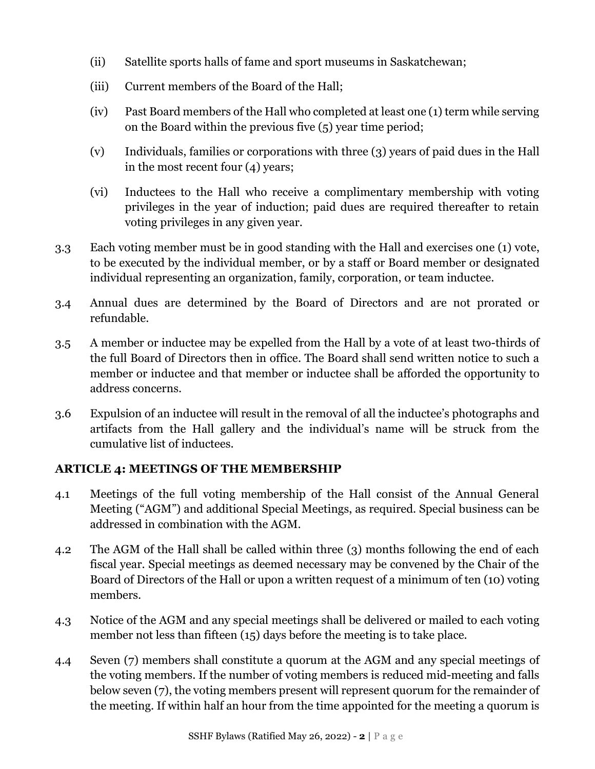- (ii) Satellite sports halls of fame and sport museums in Saskatchewan;
- (iii) Current members of the Board of the Hall;
- (iv) Past Board members of the Hall who completed at least one (1) term while serving on the Board within the previous five (5) year time period;
- (v) Individuals, families or corporations with three (3) years of paid dues in the Hall in the most recent four (4) years;
- (vi) Inductees to the Hall who receive a complimentary membership with voting privileges in the year of induction; paid dues are required thereafter to retain voting privileges in any given year.
- 3.3 Each voting member must be in good standing with the Hall and exercises one (1) vote, to be executed by the individual member, or by a staff or Board member or designated individual representing an organization, family, corporation, or team inductee.
- 3.4 Annual dues are determined by the Board of Directors and are not prorated or refundable.
- 3.5 A member or inductee may be expelled from the Hall by a vote of at least two-thirds of the full Board of Directors then in office. The Board shall send written notice to such a member or inductee and that member or inductee shall be afforded the opportunity to address concerns.
- 3.6 Expulsion of an inductee will result in the removal of all the inductee's photographs and artifacts from the Hall gallery and the individual's name will be struck from the cumulative list of inductees.

### **ARTICLE 4: MEETINGS OF THE MEMBERSHIP**

- 4.1 Meetings of the full voting membership of the Hall consist of the Annual General Meeting ("AGM") and additional Special Meetings, as required. Special business can be addressed in combination with the AGM.
- 4.2 The AGM of the Hall shall be called within three (3) months following the end of each fiscal year. Special meetings as deemed necessary may be convened by the Chair of the Board of Directors of the Hall or upon a written request of a minimum of ten (10) voting members.
- 4.3 Notice of the AGM and any special meetings shall be delivered or mailed to each voting member not less than fifteen (15) days before the meeting is to take place.
- 4.4 Seven (7) members shall constitute a quorum at the AGM and any special meetings of the voting members. If the number of voting members is reduced mid-meeting and falls below seven (7), the voting members present will represent quorum for the remainder of the meeting. If within half an hour from the time appointed for the meeting a quorum is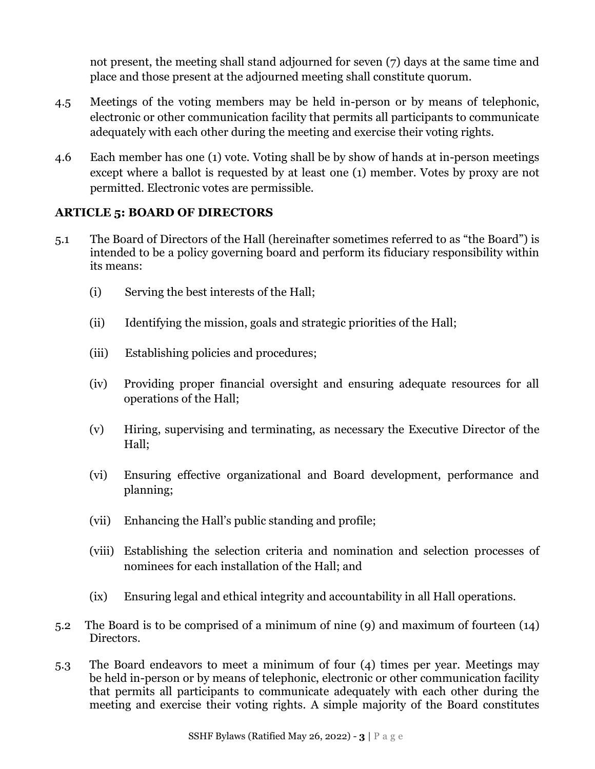not present, the meeting shall stand adjourned for seven (7) days at the same time and place and those present at the adjourned meeting shall constitute quorum.

- 4.5 Meetings of the voting members may be held in-person or by means of telephonic, electronic or other communication facility that permits all participants to communicate adequately with each other during the meeting and exercise their voting rights.
- 4.6 Each member has one (1) vote. Voting shall be by show of hands at in-person meetings except where a ballot is requested by at least one (1) member. Votes by proxy are not permitted. Electronic votes are permissible.

## **ARTICLE 5: BOARD OF DIRECTORS**

- 5.1 The Board of Directors of the Hall (hereinafter sometimes referred to as "the Board") is intended to be a policy governing board and perform its fiduciary responsibility within its means:
	- (i) Serving the best interests of the Hall;
	- (ii) Identifying the mission, goals and strategic priorities of the Hall;
	- (iii) Establishing policies and procedures;
	- (iv) Providing proper financial oversight and ensuring adequate resources for all operations of the Hall;
	- (v) Hiring, supervising and terminating, as necessary the Executive Director of the Hall;
	- (vi) Ensuring effective organizational and Board development, performance and planning;
	- (vii) Enhancing the Hall's public standing and profile;
	- (viii) Establishing the selection criteria and nomination and selection processes of nominees for each installation of the Hall; and
	- (ix) Ensuring legal and ethical integrity and accountability in all Hall operations.
- 5.2 The Board is to be comprised of a minimum of nine (9) and maximum of fourteen (14) Directors.
- 5.3 The Board endeavors to meet a minimum of four (4) times per year. Meetings may be held in-person or by means of telephonic, electronic or other communication facility that permits all participants to communicate adequately with each other during the meeting and exercise their voting rights. A simple majority of the Board constitutes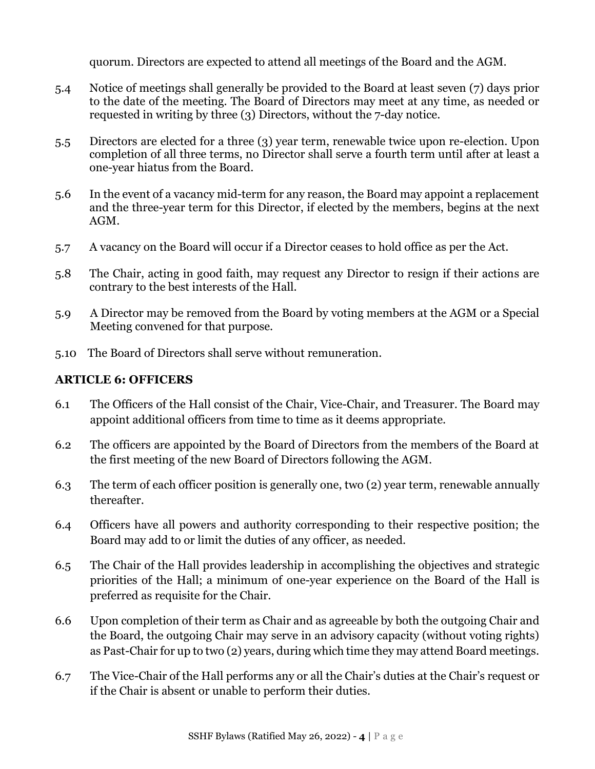quorum. Directors are expected to attend all meetings of the Board and the AGM.

- 5.4 Notice of meetings shall generally be provided to the Board at least seven (7) days prior to the date of the meeting. The Board of Directors may meet at any time, as needed or requested in writing by three (3) Directors, without the 7-day notice.
- 5.5 Directors are elected for a three (3) year term, renewable twice upon re-election. Upon completion of all three terms, no Director shall serve a fourth term until after at least a one-year hiatus from the Board.
- 5.6 In the event of a vacancy mid-term for any reason, the Board may appoint a replacement and the three-year term for this Director, if elected by the members, begins at the next AGM.
- 5.7 A vacancy on the Board will occur if a Director ceases to hold office as per the Act.
- 5.8 The Chair, acting in good faith, may request any Director to resign if their actions are contrary to the best interests of the Hall.
- 5.9 A Director may be removed from the Board by voting members at the AGM or a Special Meeting convened for that purpose.
- 5.10 The Board of Directors shall serve without remuneration.

# **ARTICLE 6: OFFICERS**

- 6.1 The Officers of the Hall consist of the Chair, Vice-Chair, and Treasurer. The Board may appoint additional officers from time to time as it deems appropriate.
- 6.2 The officers are appointed by the Board of Directors from the members of the Board at the first meeting of the new Board of Directors following the AGM.
- 6.3 The term of each officer position is generally one, two (2) year term, renewable annually thereafter.
- 6.4 Officers have all powers and authority corresponding to their respective position; the Board may add to or limit the duties of any officer, as needed.
- 6.5 The Chair of the Hall provides leadership in accomplishing the objectives and strategic priorities of the Hall; a minimum of one-year experience on the Board of the Hall is preferred as requisite for the Chair.
- 6.6 Upon completion of their term as Chair and as agreeable by both the outgoing Chair and the Board, the outgoing Chair may serve in an advisory capacity (without voting rights) as Past-Chair for up to two (2) years, during which time they may attend Board meetings.
- 6.7 The Vice-Chair of the Hall performs any or all the Chair's duties at the Chair's request or if the Chair is absent or unable to perform their duties.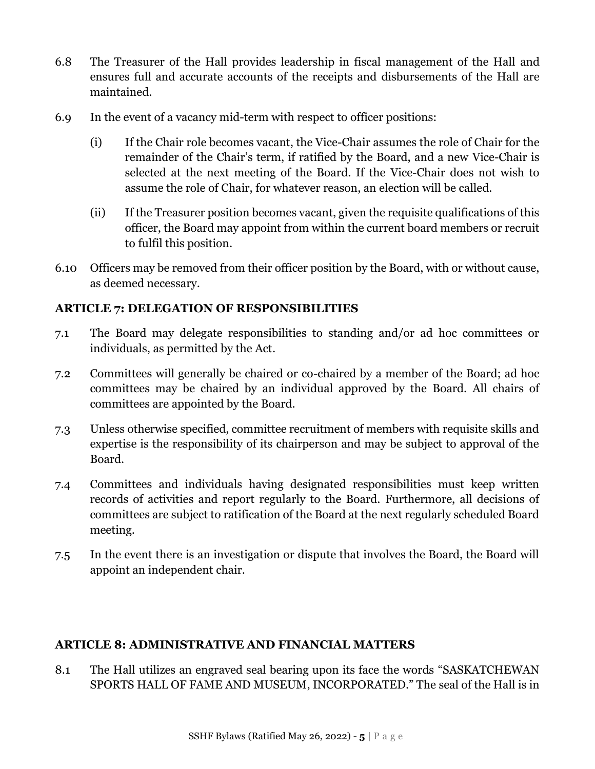- 6.8 The Treasurer of the Hall provides leadership in fiscal management of the Hall and ensures full and accurate accounts of the receipts and disbursements of the Hall are maintained.
- 6.9 In the event of a vacancy mid-term with respect to officer positions:
	- (i) If the Chair role becomes vacant, the Vice-Chair assumes the role of Chair for the remainder of the Chair's term, if ratified by the Board, and a new Vice-Chair is selected at the next meeting of the Board. If the Vice-Chair does not wish to assume the role of Chair, for whatever reason, an election will be called.
	- (ii) If the Treasurer position becomes vacant, given the requisite qualifications of this officer, the Board may appoint from within the current board members or recruit to fulfil this position.
- 6.10 Officers may be removed from their officer position by the Board, with or without cause, as deemed necessary.

# **ARTICLE 7: DELEGATION OF RESPONSIBILITIES**

- 7.1 The Board may delegate responsibilities to standing and/or ad hoc committees or individuals, as permitted by the Act.
- 7.2 Committees will generally be chaired or co-chaired by a member of the Board; ad hoc committees may be chaired by an individual approved by the Board. All chairs of committees are appointed by the Board.
- 7.3 Unless otherwise specified, committee recruitment of members with requisite skills and expertise is the responsibility of its chairperson and may be subject to approval of the Board.
- 7.4 Committees and individuals having designated responsibilities must keep written records of activities and report regularly to the Board. Furthermore, all decisions of committees are subject to ratification of the Board at the next regularly scheduled Board meeting.
- 7.5 In the event there is an investigation or dispute that involves the Board, the Board will appoint an independent chair.

### **ARTICLE 8: ADMINISTRATIVE AND FINANCIAL MATTERS**

8.1 The Hall utilizes an engraved seal bearing upon its face the words "SASKATCHEWAN SPORTS HALL OF FAME AND MUSEUM, INCORPORATED." The seal of the Hall is in